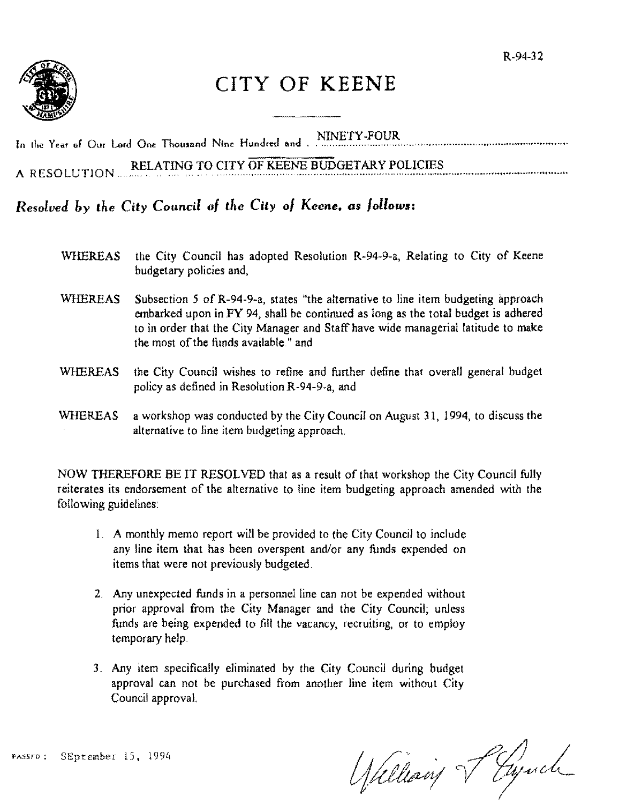

# CITY **OF KEENE**

In the Year of Our Lord One Thousand Nine Hundred and . NINETY-FOUR

A RESOLUTION RELATING TO CITY OF KEENE BUDGETARY POLICIES

# *Resolved by the City Council of the City of Keene, as follows:*

- WHEREAS the City Council has adopted Resolution R-94-9-a, Relating to City of Keene budgetary policies and,
- WHEREAS Subsection 5 of R-94-9-a, states "the alternative to line item budgeting approach embarked upon in FY 94, shall be continued as long as the total budget is adhered to in order that the City Manager and Staff have wide managerial latitude to make the most of the funds available." and
- WHEREAS the City Council wishes to refine and further define that overall general budget policy as defined in Resolution R-94-9-a, and
- WHEREAS a workshop was conducted by the City Council on August 31, 1994, to discuss the alternative to line item budgeting approach.

NOW THEREFORE BE IT RESOLVED that as a result of that workshop the City Council fully reiterates its endorsement of the alternative to line item budgeting approach amended with the following guidelines:

- I. A monthly memo report will be provided to the City Council to include any line item that has been overspent and/or any funds expended on items that were not previously budgeted.
- 2. Any unexpected funds in a personnel line can not be expended without prior approval from the City Manager and the City Council; unless funds are being expended to fill the vacancy, recruiting, or to employ temporary help.
- 3. Any item specifically eliminated by the City Council during budget approval can not be purchased from another line item without City Council approval.

PASSED: SEptember 15, 1994

Udleaving Paynel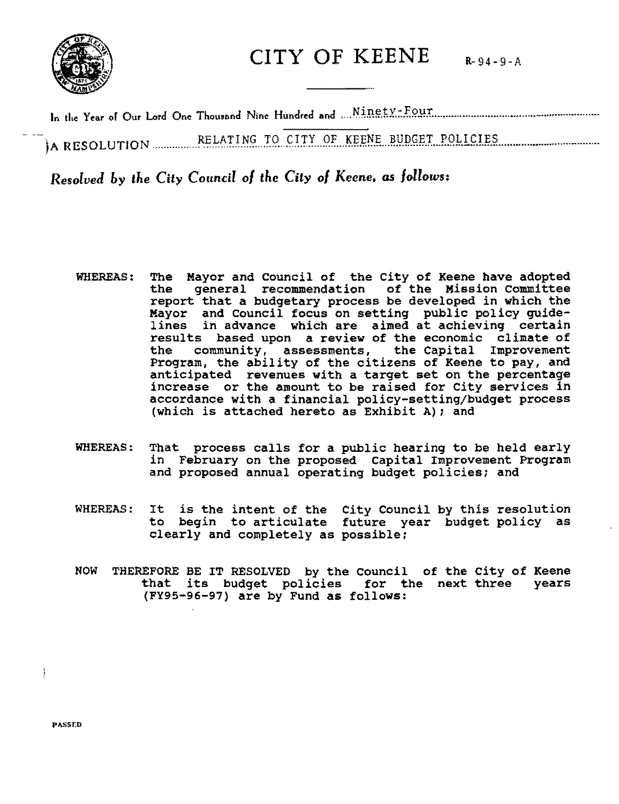

CITY OF KEENE  $R-94-9-A$ 

N" t-F In 11.. Yur or Our Lord On. Thou.and Nin. Hundred and ...... .l.R~ ... Y. ..•.. l?.!!r ....•......•.........•••....••.....•• -.................... .

- --)A R ESO LUTIO N ................ Jt~LA1:.I.N..~ ... 1:9 .. f.~.E ... QF. .. }.!'iE.N.L.!!)J.p..~l?.I ... P..QI-.!.~J.l?.?. ................................... .

*Resolved by the City Council* 0/ *the City* 0/ *Keene. as follows:* 

- WHEREAS: The Mayor and Council of the City of Keene have adopted<br>the general recommendation of the Mission Committee general recommendation of the Mission Committee report that a budgetary process be developed in which the Mayor and council focus on setting public policy guidelines in advance which are aimed at achieving certain results based upon a review of the economic climate of<br>the community, assessments, the Capital Improvement the community, assessments, the Capital Improvement Program, the ability of the citizens of Keene to pay, and anticipated revenues with a target set on the percentage increase or the amount to be raised for City services in accordance with a financial policy-setting/budget process (which is attached hereto as Exhibit A); and
- WHEREAS: That process calls for a public hearing to be held early in February on the proposed Capital Improvement Program and proposed annual operating budget policies; and
- WHEREAS: It is the intent of the City council by this resolution to begin to articulate future year budget policy as clearly and completely as possible;
- NOW THEREFORE BE IT RESOLVED by the council of the city of Keene that its budget policies for the next three years (FY95-96-97) are by Fund as follows:

PASSED

 $\overline{\phantom{a}}$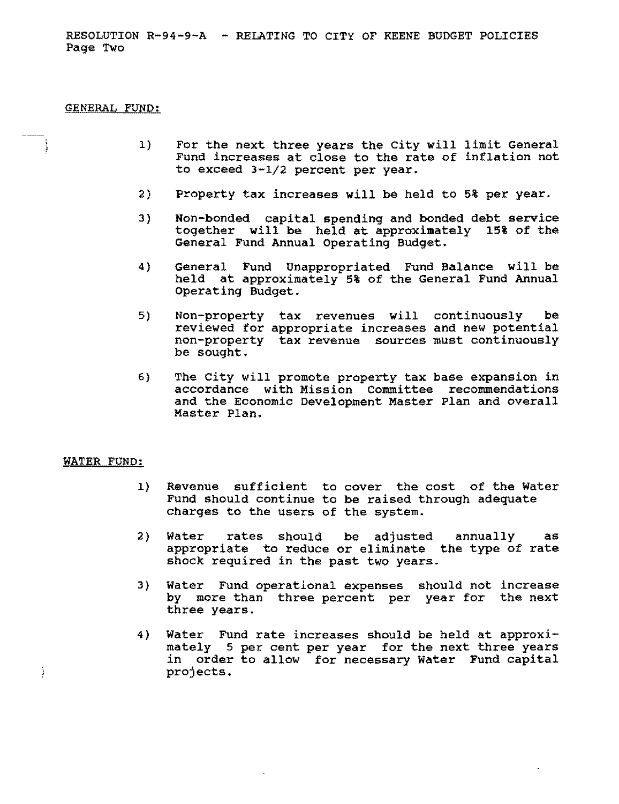RESOLUTION R-94-9-A - RELATING TO CITY OF KEENE BUDGET POLICIES Page Two

## GENERAL FUND:

 $\ddot{\phantom{a}}$ 

- 1) For the next three years the City will limit General Fund increases at close to the rate of inflation not to exceed 3-1/2 percent per year.
- 2) Property tax increases will be held to 5% per year.
- 3) Non-bonded capital spending and bonded debt service together will be held at approximately 15% of the General Fund Annual Operating Budget.
- 4) General Fund Unappropriated Fund Balance will be held at approximately 5% of the General Fund Annual Operating Budget.
- 5) Non-property tax revenues will continuously be reviewed for appropriate increases and new potential non-property tax revenue sources must continuously be sought.
- 6) The City will promote property tax base expansion in accordance with Mission Committee recommendations and the Economic Development Master Plan and overall Master Plan.

#### WATER FUND:

Ì

- 1) Revenue sufficient to cover the cost of the Water Fund should continue to be raised through adequate charges to the users of the system.
- 2) Water rates should be adjusted annually as appropriate to reduce or eliminate the type of rate shock required in the past two years.
- 3) Water Fund operational expenses should not increase by more than three percent per year for the next three years.
- 4) Water Fund rate increases should be held at approximately 5 per cent per year for the next three years in order to allow for necessary Water Fund capital projects.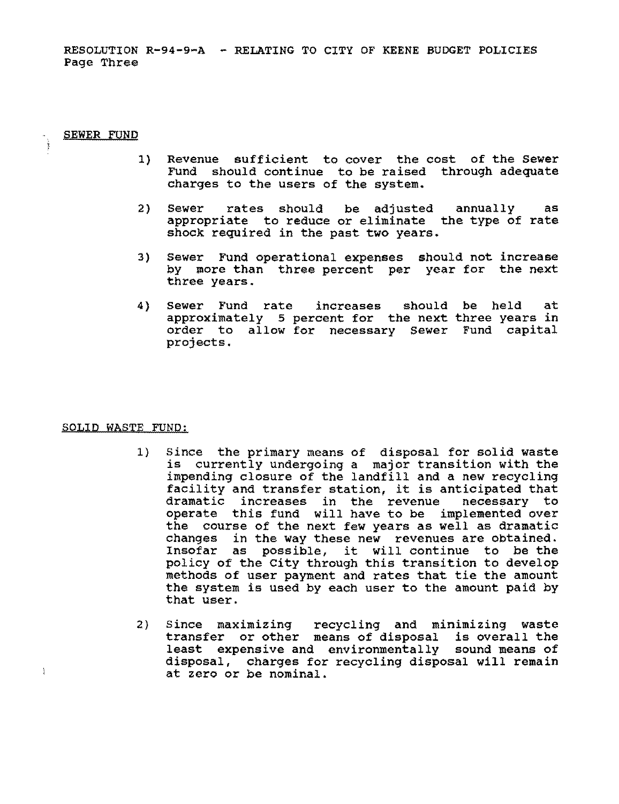RESOLUTION R-94-9-A - RELATING TO CITY OF KEENE BUDGET POLICIES Page Three

#### SEWER FUND

 $\mathbf{I}$ 

- 1) Revenue sufficient to cover the cost of the Sewer Fund should continue to be raised through adequate charges to the users of the system.
- 2) Sewer rates should be adjusted annually as appropriate to reduce or eliminate the type of rate shock required in the past two years.
- 3) Sewer Fund operational expenses should not increase by more than three percent per year for the next three years.
- 4) Sewer Fund rate increases approximately 5 percent for the next three years in order to allow for necessary Sewer Fund capital projects. should be held at

#### SOLID WASTE FUND:

- 1) Since the primary means of disposal for solid waste is currently undergoing a major transition with the impending closure of the landfill and a new recycling facility and transfer station, it is anticipated that dramatic increases in the revenue necessary to operate this fund will have to be implemented over the course of the next few years as well as dramatic changes in the way these new revenues are Obtained. Insofar as possible, it will continue to be the policy of the City through this transition to develop methods of user payment and rates that tie the amount the system is used by each user to the amount paid by that user.
- 2) Since maximizing recycling and minimizing waste transfer or other means of disposal is overall the least expensive and environmentally sound means of disposal, charges for recycling disposal will remain at zero or be nominal.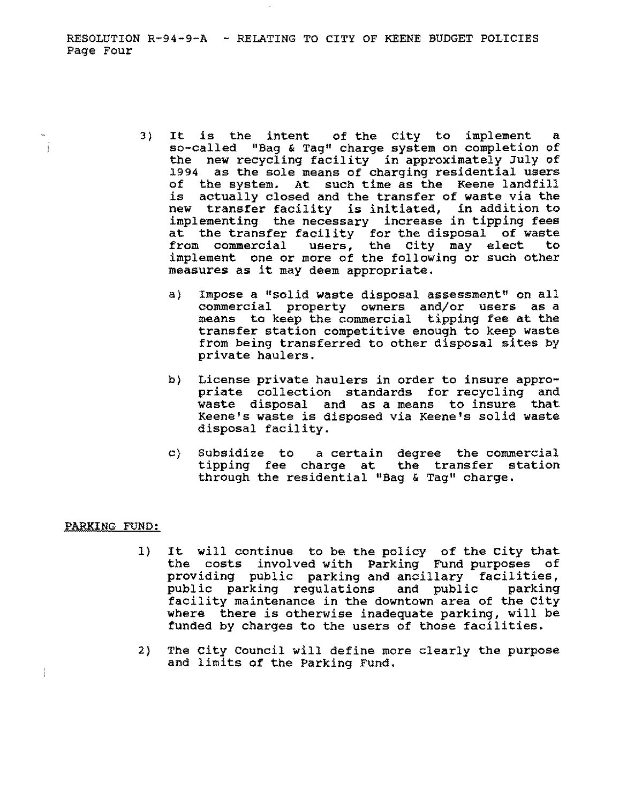RESOLUTION R-94-9-A - RELATING TO CITY OF KEENE BUDGET POLICIES Page Four

- 3) It is the intent of the city to implement a so-called "Bag & Tag" charge system on completion of the new recycling facility in approximately July of 1994 as the sole means of charging residential users of the system. At such time as the Keene landfill is actually closed and the transfer of waste via the new transfer facility is initiated, in addition to implementing the necessary increase in tipping fees at the transfer facility for the disposal of waste from commercial users, the City may elect to implement one or more of the following or such other measures as it may deem appropriate.
	- a) Impose a "solid waste disposal assessment" on all commercial property owners and/or users as a means to keep the commercial tipping fee at the transfer station competitive enough to keep waste from being transferred to other disposal sites by private haulers.
	- b) License private haulers in order to insure appropriate collection standards for recycling and waste disposal and as a means to insure that Keene's waste is disposed via Keene's solid waste disposal facility.
	- c) Subsidize to a certain degree the commercial tipping fee charge at the transfer station through the residential "Bag & Tag" charge.

# PARKING FUND:

Ĵ

 $\frac{1}{4}$ 

- 1) It will continue to be the policy of the city that the costs involved with Parking Fund purposes of providing public parking and ancillary facilities,<br>public parking regulations and public parking public parking regulations and public facility maintenance in the downtown area of the city where there is otherwise inadequate parking, will be funded by charges to the users of those facilities.
- 2) The city Council will define more clearly the purpose and limits of the Parking Fund.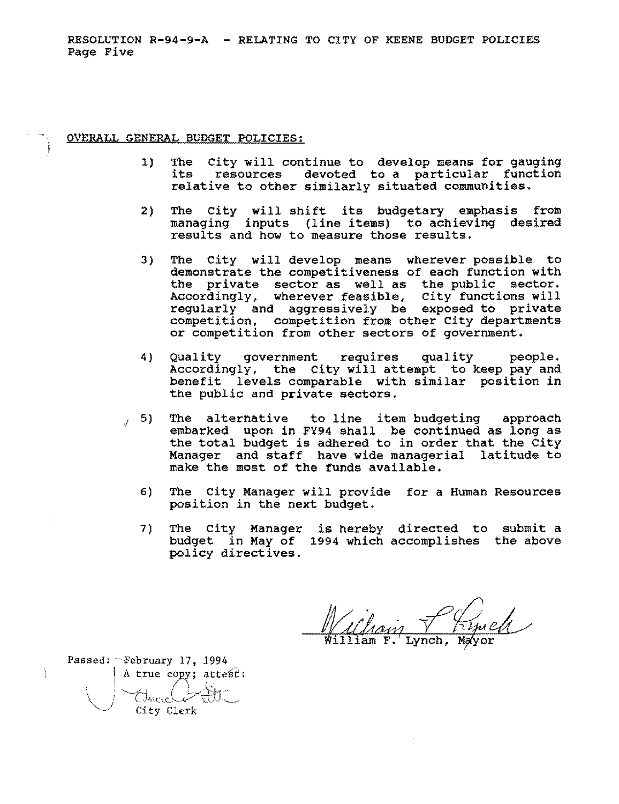RESOLUTION R-94-9-A - RELATING TO CITY OF KEENE BUDGET POLICIES Page Five

OVERALL GENERAL BUDGET POLICIES:

- 1) The City will continue to develop means for gauging its resources devoted to a particular function relative to other similarly situated communities.
- 2) The city will shift its budgetary emphasis from managing inputs (line items) to achieving desired results and how to measure those results.
- 3) The City will develop means wherever possible to demonstrate the competitiveness of each function with the private sector as well as the public sector. Accordingly, wherever feasible, city functions will regularly and aggressively be exposed to private competition, competition from other City departments or competition from other sectors of government.
- 4) Quality government requires quality people. Accordingly, the city will attempt to keep pay and benefit levels comparable with similar position in the public and private sectors.
- $I$  5) The alternative to line item budgeting approach embarked upon in FY94 shall be continued as long as the total budget is adhered to in order that the City Manager and staff have wide managerial latitude to make the most of the funds available.
	- 6) The City Manager will provide for a Human Resources position in the next budget.
	- 7) The City Manager is hereby directed to submit a budget in May of 1994 which accomplishes the above policy directives.

William F. Lynch, Mayor

Passed: February 17, 1994 A true copy;  $\text{atte } f$ : Tace City Clerk

Ĵ.